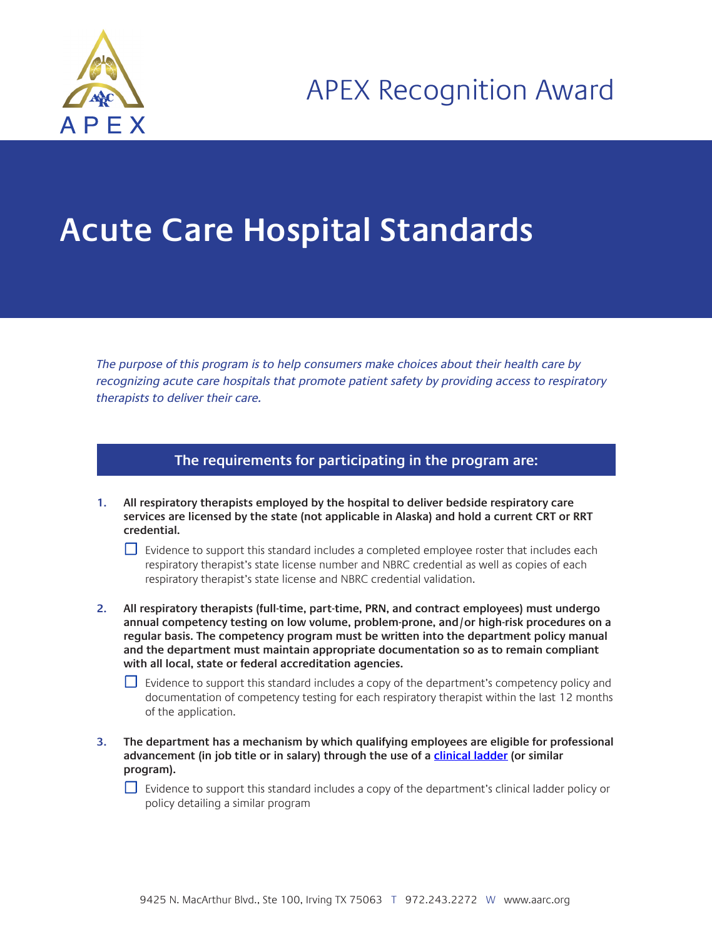

## **Acute Care Hospital Standards**

The purpose of this program is to help consumers make choices about their health care by recognizing acute care hospitals that promote patient safety by providing access to respiratory therapists to deliver their care.

## **The requirements for participating in the program are:**

**1. All respiratory therapists employed by the hospital to deliver bedside respiratory care services are licensed by the state (not applicable in Alaska) and hold a current CRT or RRT credential.**

 $\Box$  Evidence to support this standard includes a completed employee roster that includes each respiratory therapist's state license number and NBRC credential as well as copies of each respiratory therapist's state license and NBRC credential validation.

**2. All respiratory therapists (full-time, part-time, PRN, and contract employees) must undergo annual competency testing on low volume, problem-prone, and/or high-risk procedures on a regular basis. The competency program must be written into the department policy manual and the department must maintain appropriate documentation so as to remain compliant with all local, state or federal accreditation agencies.**

 $\Box$  Evidence to support this standard includes a copy of the department's competency policy and documentation of competency testing for each respiratory therapist within the last 12 months of the application.

**3. The department has a mechanism by which qualifying employees are eligible for professional advancement (in job title or in salary) through the use of a [clinical ladder](https://www.aarc.org/wp-content/uploads/2013/07/respiratory-therapy-career-ladder-model.pdf) (or similar program).** 

 $\Box$  Evidence to support this standard includes a copy of the department's clinical ladder policy or policy detailing a similar program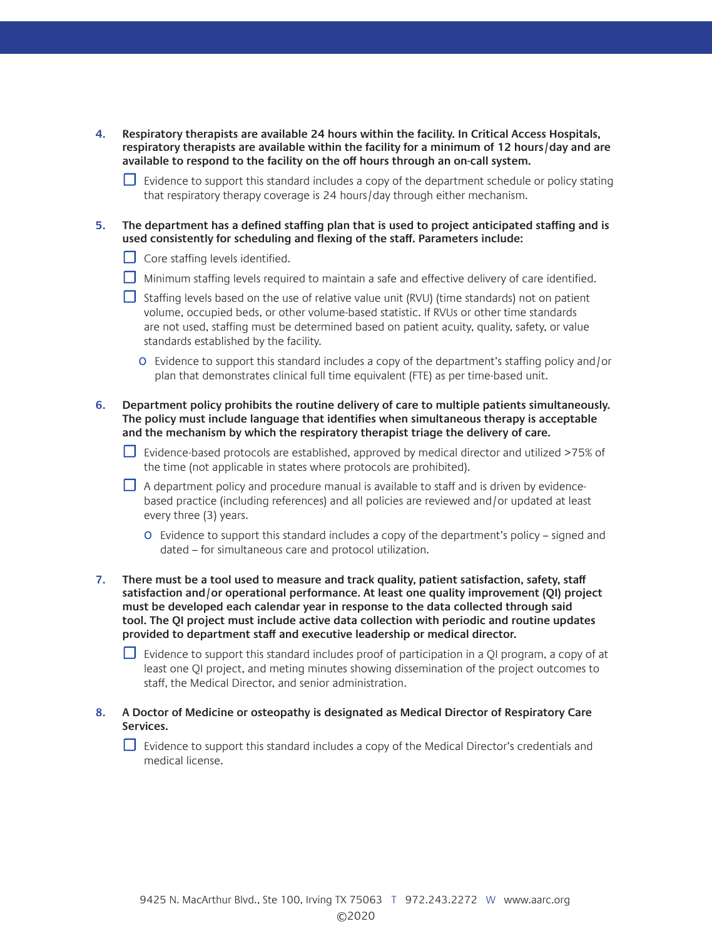- **4. Respiratory therapists are available 24 hours within the facility. In Critical Access Hospitals, respiratory therapists are available within the facility for a minimum of 12 hours/day and are available to respond to the facility on the off hours through an on-call system.** 
	- $□$  Evidence to support this standard includes a copy of the department schedule or policy stating that respiratory therapy coverage is 24 hours/day through either mechanism.
- **5. The department has a defined staffing plan that is used to project anticipated staffing and is used consistently for scheduling and flexing of the staff. Parameters include:** 
	- $\Box$  Core staffing levels identified.
	- □ Minimum staffing levels required to maintain a safe and effective delivery of care identified.
	- ☐ Staffing levels based on the use of relative value unit (RVU) (time standards) not on patient volume, occupied beds, or other volume-based statistic. If RVUs or other time standards are not used, staffing must be determined based on patient acuity, quality, safety, or value standards established by the facility.
		- o Evidence to support this standard includes a copy of the department's staffing policy and/or plan that demonstrates clinical full time equivalent (FTE) as per time-based unit.
- **6. Department policy prohibits the routine delivery of care to multiple patients simultaneously. The policy must include language that identifies when simultaneous therapy is acceptable and the mechanism by which the respiratory therapist triage the delivery of care.**
	- ☐ Evidence-based protocols are established, approved by medical director and utilized >75% of the time (not applicable in states where protocols are prohibited).
	- $\Box$  A department policy and procedure manual is available to staff and is driven by evidencebased practice (including references) and all policies are reviewed and/or updated at least every three (3) years.
		- o Evidence to support this standard includes a copy of the department's policy signed and dated – for simultaneous care and protocol utilization.
- **7. There must be a tool used to measure and track quality, patient satisfaction, safety, staff satisfaction and/or operational performance. At least one quality improvement (QI) project must be developed each calendar year in response to the data collected through said tool. The QI project must include active data collection with periodic and routine updates provided to department staff and executive leadership or medical director.**
	- $□$  Evidence to support this standard includes proof of participation in a QI program, a copy of at least one QI project, and meting minutes showing dissemination of the project outcomes to staff, the Medical Director, and senior administration.
- **8. A Doctor of Medicine or osteopathy is designated as Medical Director of Respiratory Care Services.**
	- □ Evidence to support this standard includes a copy of the Medical Director's credentials and medical license.